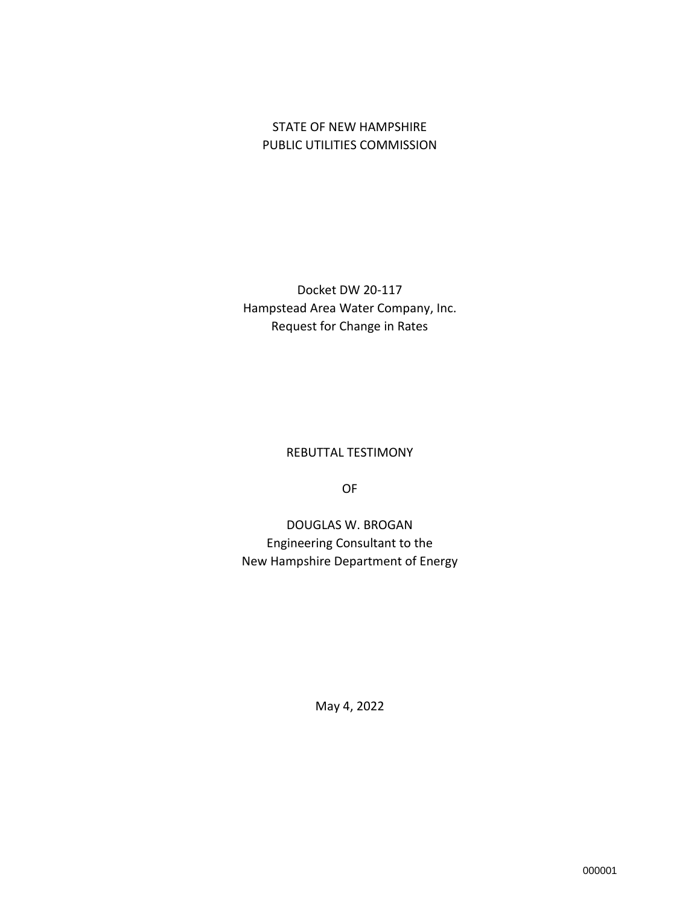## STATE OF NEW HAMPSHIRE PUBLIC UTILITIES COMMISSION

Docket DW 20-117 Hampstead Area Water Company, Inc. Request for Change in Rates

REBUTTAL TESTIMONY

OF

DOUGLAS W. BROGAN Engineering Consultant to the New Hampshire Department of Energy

May 4, 2022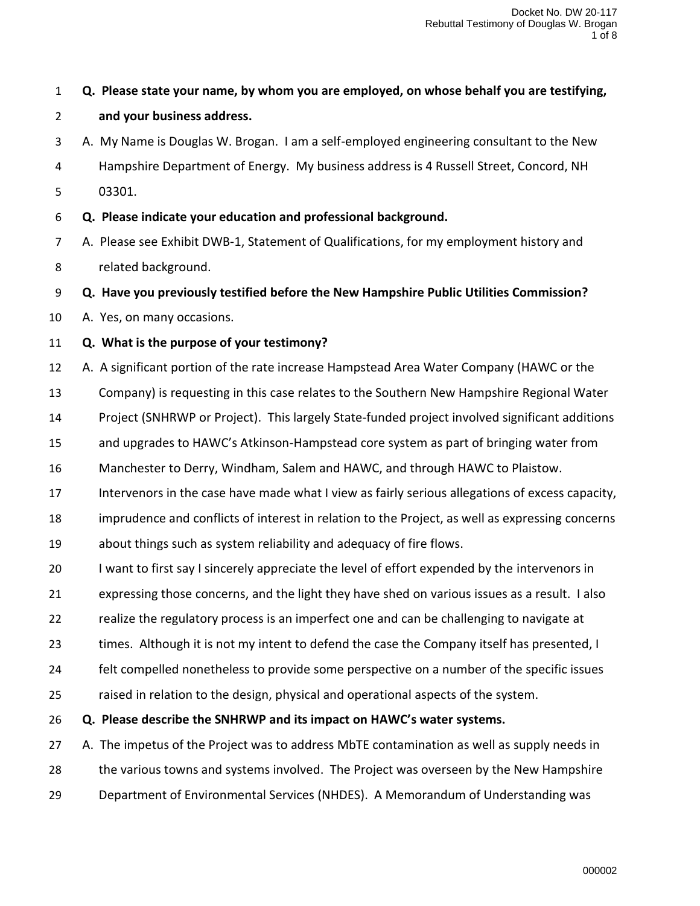| $\mathbf{1}$   | Q. Please state your name, by whom you are employed, on whose behalf you are testifying,        |
|----------------|-------------------------------------------------------------------------------------------------|
| $\overline{2}$ | and your business address.                                                                      |
| 3              | A. My Name is Douglas W. Brogan. I am a self-employed engineering consultant to the New         |
| 4              | Hampshire Department of Energy. My business address is 4 Russell Street, Concord, NH            |
| 5              | 03301.                                                                                          |
| 6              | Q. Please indicate your education and professional background.                                  |
| 7              | A. Please see Exhibit DWB-1, Statement of Qualifications, for my employment history and         |
| 8              | related background.                                                                             |
| 9              | Q. Have you previously testified before the New Hampshire Public Utilities Commission?          |
| 10             | A. Yes, on many occasions.                                                                      |
| 11             | Q. What is the purpose of your testimony?                                                       |
| 12             | A. A significant portion of the rate increase Hampstead Area Water Company (HAWC or the         |
| 13             | Company) is requesting in this case relates to the Southern New Hampshire Regional Water        |
| 14             | Project (SNHRWP or Project). This largely State-funded project involved significant additions   |
| 15             | and upgrades to HAWC's Atkinson-Hampstead core system as part of bringing water from            |
| 16             | Manchester to Derry, Windham, Salem and HAWC, and through HAWC to Plaistow.                     |
| 17             | Intervenors in the case have made what I view as fairly serious allegations of excess capacity, |
| 18             | imprudence and conflicts of interest in relation to the Project, as well as expressing concerns |
| 19             | about things such as system reliability and adequacy of fire flows.                             |
| 20             | I want to first say I sincerely appreciate the level of effort expended by the intervenors in   |
| 21             | expressing those concerns, and the light they have shed on various issues as a result. I also   |
| 22             | realize the regulatory process is an imperfect one and can be challenging to navigate at        |
| 23             | times. Although it is not my intent to defend the case the Company itself has presented, I      |
| 24             | felt compelled nonetheless to provide some perspective on a number of the specific issues       |
| 25             | raised in relation to the design, physical and operational aspects of the system.               |
| 26             | Q. Please describe the SNHRWP and its impact on HAWC's water systems.                           |
| 27             | A. The impetus of the Project was to address MbTE contamination as well as supply needs in      |
| 28             | the various towns and systems involved. The Project was overseen by the New Hampshire           |
| 29             | Department of Environmental Services (NHDES). A Memorandum of Understanding was                 |
|                |                                                                                                 |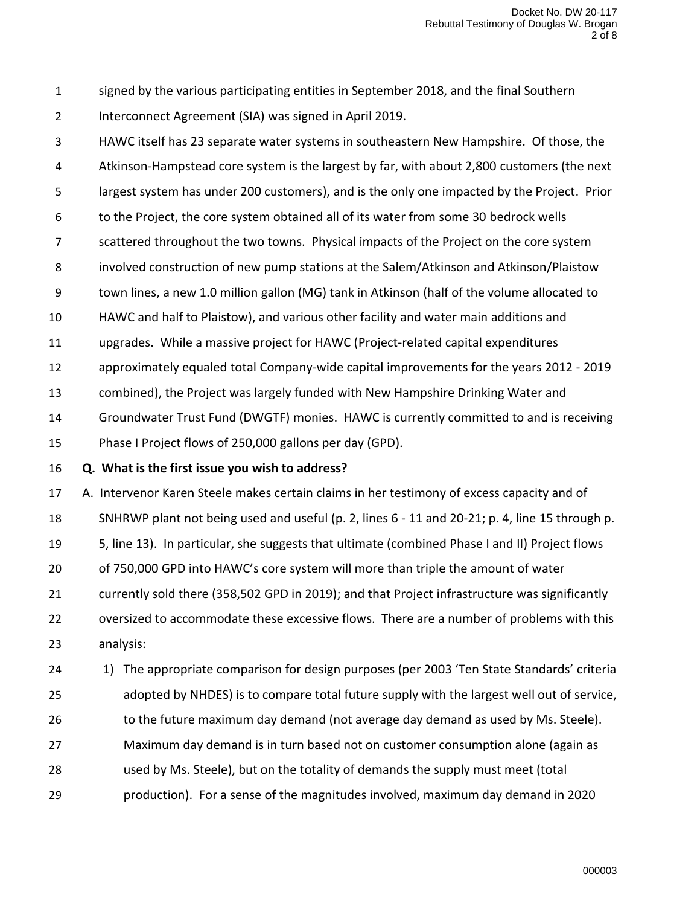signed by the various participating entities in September 2018, and the final Southern Interconnect Agreement (SIA) was signed in April 2019.

 HAWC itself has 23 separate water systems in southeastern New Hampshire. Of those, the Atkinson-Hampstead core system is the largest by far, with about 2,800 customers (the next

largest system has under 200 customers), and is the only one impacted by the Project. Prior

to the Project, the core system obtained all of its water from some 30 bedrock wells

scattered throughout the two towns. Physical impacts of the Project on the core system

involved construction of new pump stations at the Salem/Atkinson and Atkinson/Plaistow

town lines, a new 1.0 million gallon (MG) tank in Atkinson (half of the volume allocated to

HAWC and half to Plaistow), and various other facility and water main additions and

upgrades. While a massive project for HAWC (Project-related capital expenditures

approximately equaled total Company-wide capital improvements for the years 2012 - 2019

combined), the Project was largely funded with New Hampshire Drinking Water and

Groundwater Trust Fund (DWGTF) monies. HAWC is currently committed to and is receiving

Phase I Project flows of 250,000 gallons per day (GPD).

**Q. What is the first issue you wish to address?**

 A. Intervenor Karen Steele makes certain claims in her testimony of excess capacity and of SNHRWP plant not being used and useful (p. 2, lines 6 - 11 and 20-21; p. 4, line 15 through p. 5, line 13). In particular, she suggests that ultimate (combined Phase I and II) Project flows of 750,000 GPD into HAWC's core system will more than triple the amount of water currently sold there (358,502 GPD in 2019); and that Project infrastructure was significantly oversized to accommodate these excessive flows. There are a number of problems with this analysis:

24 1) The appropriate comparison for design purposes (per 2003 'Ten State Standards' criteria adopted by NHDES) is to compare total future supply with the largest well out of service,

26 to the future maximum day demand (not average day demand as used by Ms. Steele).

Maximum day demand is in turn based not on customer consumption alone (again as

- used by Ms. Steele), but on the totality of demands the supply must meet (total
- production). For a sense of the magnitudes involved, maximum day demand in 2020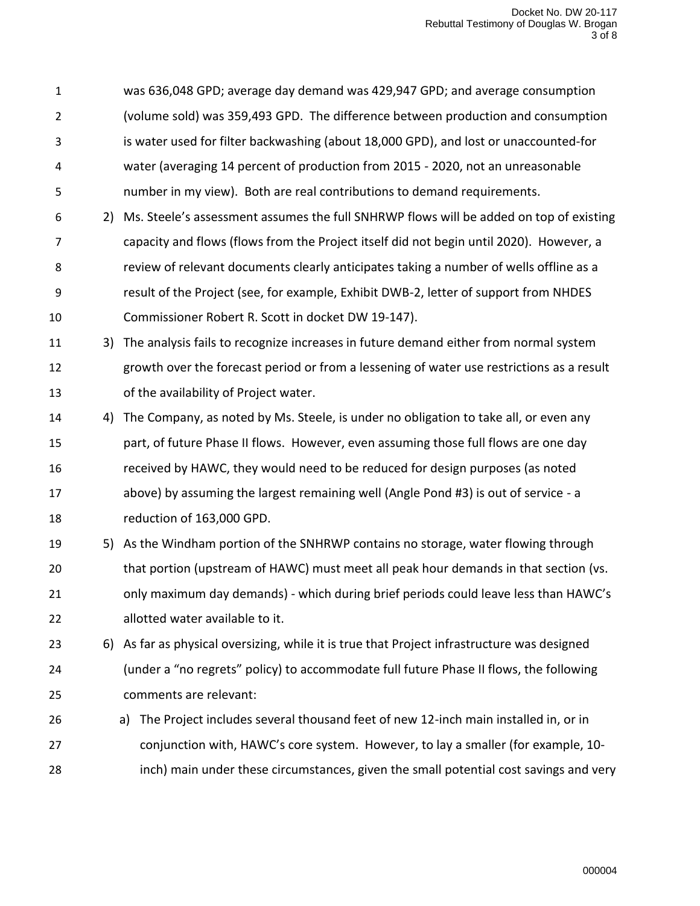was 636,048 GPD; average day demand was 429,947 GPD; and average consumption (volume sold) was 359,493 GPD. The difference between production and consumption is water used for filter backwashing (about 18,000 GPD), and lost or unaccounted-for water (averaging 14 percent of production from 2015 - 2020, not an unreasonable number in my view). Both are real contributions to demand requirements.

- 2) Ms. Steele's assessment assumes the full SNHRWP flows will be added on top of existing capacity and flows (flows from the Project itself did not begin until 2020). However, a review of relevant documents clearly anticipates taking a number of wells offline as a result of the Project (see, for example, Exhibit DWB-2, letter of support from NHDES Commissioner Robert R. Scott in docket DW 19-147).
- 3) The analysis fails to recognize increases in future demand either from normal system growth over the forecast period or from a lessening of water use restrictions as a result of the availability of Project water.
- 4) The Company, as noted by Ms. Steele, is under no obligation to take all, or even any part, of future Phase II flows. However, even assuming those full flows are one day received by HAWC, they would need to be reduced for design purposes (as noted above) by assuming the largest remaining well (Angle Pond #3) is out of service - a reduction of 163,000 GPD.
- 5) As the Windham portion of the SNHRWP contains no storage, water flowing through that portion (upstream of HAWC) must meet all peak hour demands in that section (vs. only maximum day demands) - which during brief periods could leave less than HAWC's allotted water available to it.

 6) As far as physical oversizing, while it is true that Project infrastructure was designed (under a "no regrets" policy) to accommodate full future Phase II flows, the following comments are relevant:

 a) The Project includes several thousand feet of new 12-inch main installed in, or in conjunction with, HAWC's core system. However, to lay a smaller (for example, 10- inch) main under these circumstances, given the small potential cost savings and very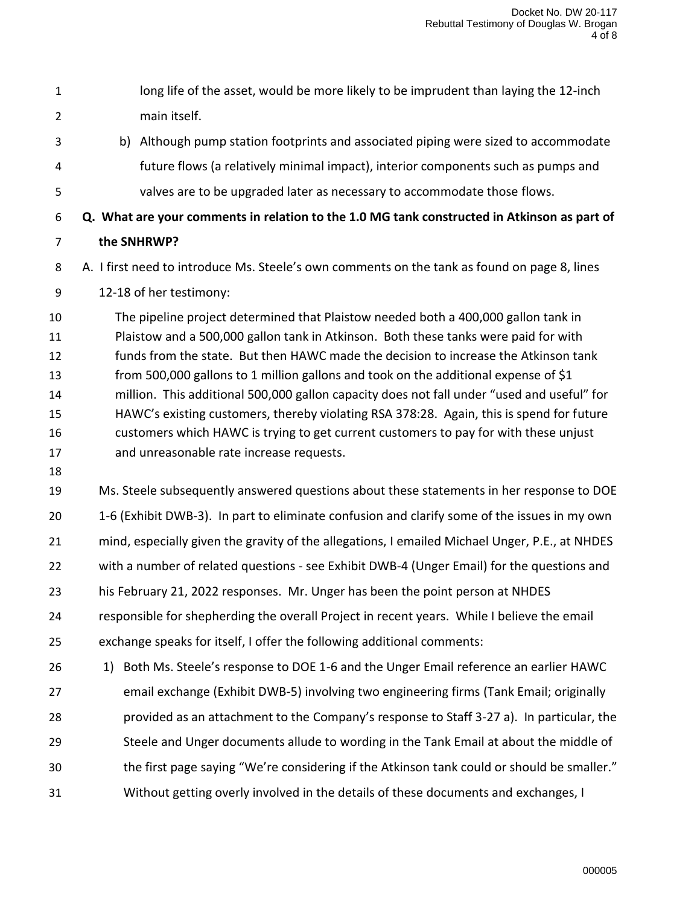- 1 long life of the asset, would be more likely to be imprudent than laying the 12-inch main itself. b) Although pump station footprints and associated piping were sized to accommodate future flows (a relatively minimal impact), interior components such as pumps and valves are to be upgraded later as necessary to accommodate those flows. **Q. What are your comments in relation to the 1.0 MG tank constructed in Atkinson as part of the SNHRWP?** A. I first need to introduce Ms. Steele's own comments on the tank as found on page 8, lines 12-18 of her testimony: The pipeline project determined that Plaistow needed both a 400,000 gallon tank in Plaistow and a 500,000 gallon tank in Atkinson. Both these tanks were paid for with funds from the state. But then HAWC made the decision to increase the Atkinson tank
- from 500,000 gallons to 1 million gallons and took on the additional expense of \$1 million. This additional 500,000 gallon capacity does not fall under "used and useful" for HAWC's existing customers, thereby violating RSA 378:28. Again, this is spend for future customers which HAWC is trying to get current customers to pay for with these unjust and unreasonable rate increase requests.
- 

 Ms. Steele subsequently answered questions about these statements in her response to DOE 1-6 (Exhibit DWB-3). In part to eliminate confusion and clarify some of the issues in my own mind, especially given the gravity of the allegations, I emailed Michael Unger, P.E., at NHDES 22 with a number of related questions - see Exhibit DWB-4 (Unger Email) for the questions and his February 21, 2022 responses. Mr. Unger has been the point person at NHDES responsible for shepherding the overall Project in recent years. While I believe the email exchange speaks for itself, I offer the following additional comments:

26 1) Both Ms. Steele's response to DOE 1-6 and the Unger Email reference an earlier HAWC email exchange (Exhibit DWB-5) involving two engineering firms (Tank Email; originally provided as an attachment to the Company's response to Staff 3-27 a). In particular, the Steele and Unger documents allude to wording in the Tank Email at about the middle of the first page saying "We're considering if the Atkinson tank could or should be smaller." Without getting overly involved in the details of these documents and exchanges, I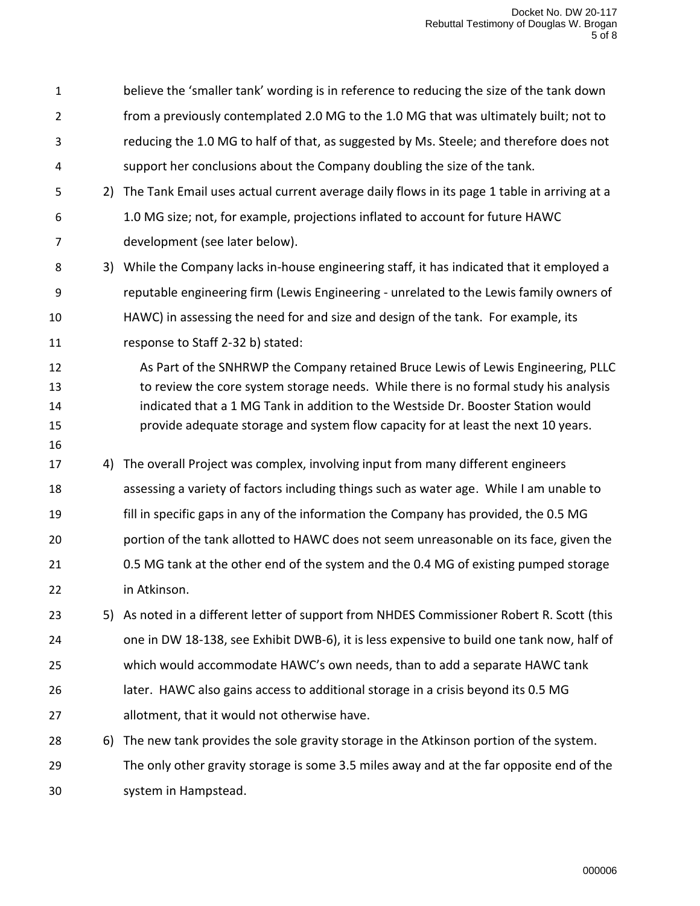believe the 'smaller tank' wording is in reference to reducing the size of the tank down from a previously contemplated 2.0 MG to the 1.0 MG that was ultimately built; not to reducing the 1.0 MG to half of that, as suggested by Ms. Steele; and therefore does not support her conclusions about the Company doubling the size of the tank. 2) The Tank Email uses actual current average daily flows in its page 1 table in arriving at a 1.0 MG size; not, for example, projections inflated to account for future HAWC development (see later below). 3) While the Company lacks in-house engineering staff, it has indicated that it employed a reputable engineering firm (Lewis Engineering - unrelated to the Lewis family owners of HAWC) in assessing the need for and size and design of the tank. For example, its response to Staff 2-32 b) stated: **As Part of the SNHRWP the Company retained Bruce Lewis of Lewis Engineering, PLLC** 13 to review the core system storage needs. While there is no formal study his analysis indicated that a 1 MG Tank in addition to the Westside Dr. Booster Station would provide adequate storage and system flow capacity for at least the next 10 years. 4) The overall Project was complex, involving input from many different engineers assessing a variety of factors including things such as water age. While I am unable to fill in specific gaps in any of the information the Company has provided, the 0.5 MG portion of the tank allotted to HAWC does not seem unreasonable on its face, given the 0.5 MG tank at the other end of the system and the 0.4 MG of existing pumped storage in Atkinson. 5) As noted in a different letter of support from NHDES Commissioner Robert R. Scott (this one in DW 18-138, see Exhibit DWB-6), it is less expensive to build one tank now, half of which would accommodate HAWC's own needs, than to add a separate HAWC tank later. HAWC also gains access to additional storage in a crisis beyond its 0.5 MG allotment, that it would not otherwise have. 6) The new tank provides the sole gravity storage in the Atkinson portion of the system. The only other gravity storage is some 3.5 miles away and at the far opposite end of the system in Hampstead.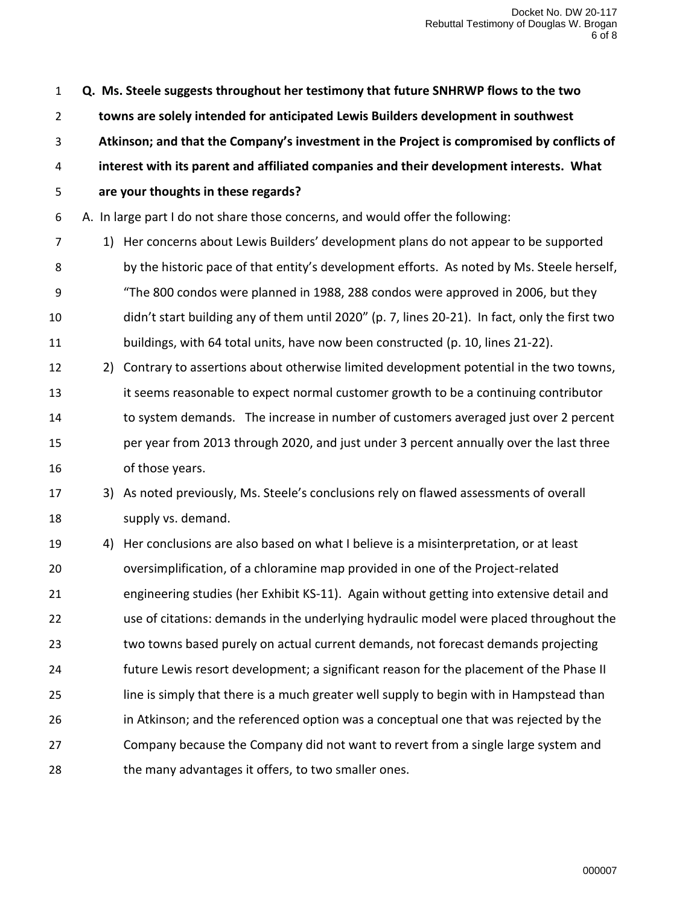**Q. Ms. Steele suggests throughout her testimony that future SNHRWP flows to the two towns are solely intended for anticipated Lewis Builders development in southwest Atkinson; and that the Company's investment in the Project is compromised by conflicts of interest with its parent and affiliated companies and their development interests. What are your thoughts in these regards?** A. In large part I do not share those concerns, and would offer the following: 1) Her concerns about Lewis Builders' development plans do not appear to be supported 8 by the historic pace of that entity's development efforts. As noted by Ms. Steele herself, "The 800 condos were planned in 1988, 288 condos were approved in 2006, but they didn't start building any of them until 2020" (p. 7, lines 20-21). In fact, only the first two buildings, with 64 total units, have now been constructed (p. 10, lines 21-22). 2) Contrary to assertions about otherwise limited development potential in the two towns, it seems reasonable to expect normal customer growth to be a continuing contributor to system demands. The increase in number of customers averaged just over 2 percent per year from 2013 through 2020, and just under 3 percent annually over the last three of those years. 3) As noted previously, Ms. Steele's conclusions rely on flawed assessments of overall supply vs. demand. 4) Her conclusions are also based on what I believe is a misinterpretation, or at least oversimplification, of a chloramine map provided in one of the Project-related engineering studies (her Exhibit KS-11). Again without getting into extensive detail and use of citations: demands in the underlying hydraulic model were placed throughout the two towns based purely on actual current demands, not forecast demands projecting future Lewis resort development; a significant reason for the placement of the Phase II line is simply that there is a much greater well supply to begin with in Hampstead than in Atkinson; and the referenced option was a conceptual one that was rejected by the Company because the Company did not want to revert from a single large system and 28 the many advantages it offers, to two smaller ones.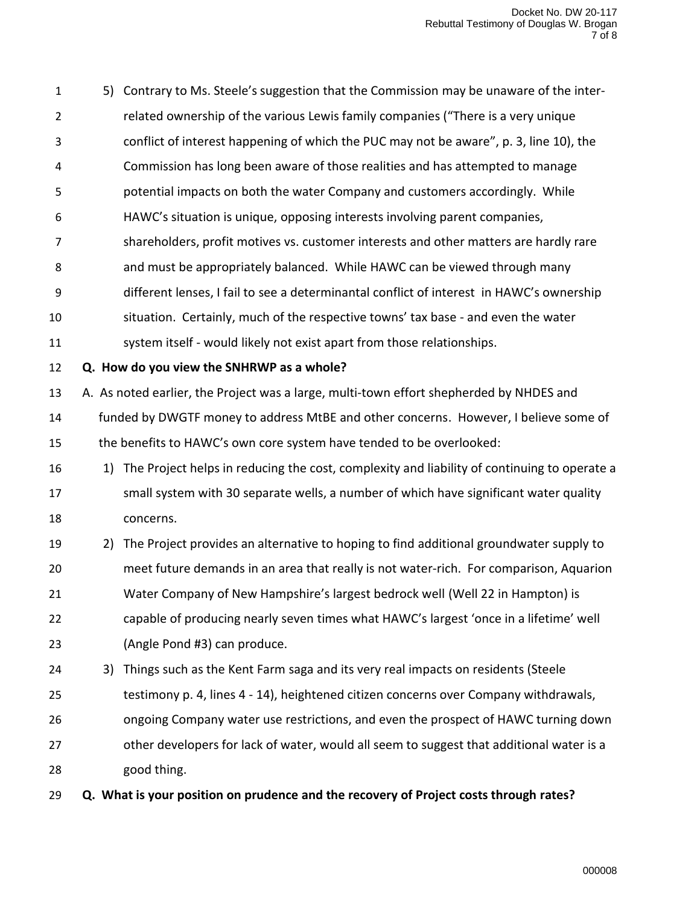5) Contrary to Ms. Steele's suggestion that the Commission may be unaware of the inter- related ownership of the various Lewis family companies ("There is a very unique conflict of interest happening of which the PUC may not be aware", p. 3, line 10), the Commission has long been aware of those realities and has attempted to manage potential impacts on both the water Company and customers accordingly. While HAWC's situation is unique, opposing interests involving parent companies, shareholders, profit motives vs. customer interests and other matters are hardly rare and must be appropriately balanced. While HAWC can be viewed through many different lenses, I fail to see a determinantal conflict of interest in HAWC's ownership situation. Certainly, much of the respective towns' tax base - and even the water system itself - would likely not exist apart from those relationships. **Q. How do you view the SNHRWP as a whole?**

 A. As noted earlier, the Project was a large, multi-town effort shepherded by NHDES and funded by DWGTF money to address MtBE and other concerns. However, I believe some of the benefits to HAWC's own core system have tended to be overlooked:

- 16 16 10 1) The Project helps in reducing the cost, complexity and liability of continuing to operate a small system with 30 separate wells, a number of which have significant water quality concerns.
- 2) The Project provides an alternative to hoping to find additional groundwater supply to meet future demands in an area that really is not water-rich. For comparison, Aquarion Water Company of New Hampshire's largest bedrock well (Well 22 in Hampton) is capable of producing nearly seven times what HAWC's largest 'once in a lifetime' well (Angle Pond #3) can produce.
- 3) Things such as the Kent Farm saga and its very real impacts on residents (Steele testimony p. 4, lines 4 - 14), heightened citizen concerns over Company withdrawals, ongoing Company water use restrictions, and even the prospect of HAWC turning down 27 other developers for lack of water, would all seem to suggest that additional water is a good thing.
- **Q. What is your position on prudence and the recovery of Project costs through rates?**